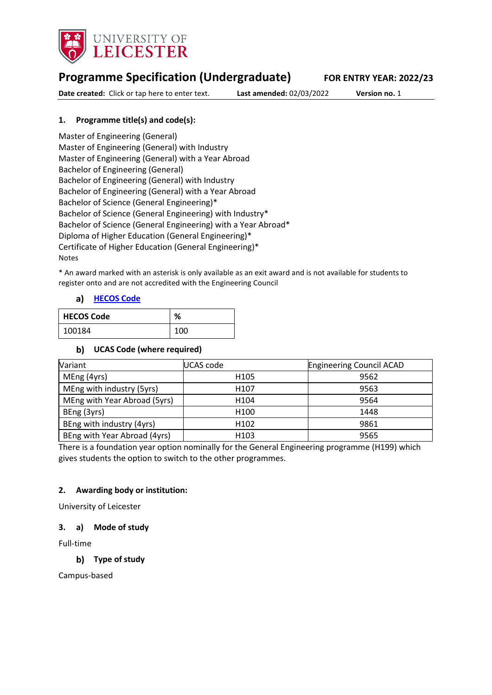

# **Programme Specification (Undergraduate) FOR ENTRY YEAR: 2022/23**

**Date created:** Click or tap here to enter text. **Last amended:** 02/03/2022 **Version no.** 1

# **1. Programme title(s) and code(s):**

Master of Engineering (General) Master of Engineering (General) with Industry Master of Engineering (General) with a Year Abroad Bachelor of Engineering (General) Bachelor of Engineering (General) with Industry Bachelor of Engineering (General) with a Year Abroad Bachelor of Science (General Engineering)\* Bachelor of Science (General Engineering) with Industry\* Bachelor of Science (General Engineering) with a Year Abroad\* Diploma of Higher Education (General Engineering)\* Certificate of Higher Education (General Engineering)\* Notes

\* An award marked with an asterisk is only available as an exit award and is not available for students to register onto and are not accredited with the Engineering Council

### **[HECOS Code](https://www.hesa.ac.uk/innovation/hecos)**

| HECOS Code | %   |
|------------|-----|
| 100184     | 100 |

### **UCAS Code (where required)**

| Variant                      | UCAS code        | <b>Engineering Council ACAD</b> |
|------------------------------|------------------|---------------------------------|
| MEng (4yrs)                  | H <sub>105</sub> | 9562                            |
| MEng with industry (5yrs)    | H <sub>107</sub> | 9563                            |
| MEng with Year Abroad (5yrs) | H <sub>104</sub> | 9564                            |
| BEng (3yrs)                  | H <sub>100</sub> | 1448                            |
| BEng with industry (4yrs)    | H <sub>102</sub> | 9861                            |
| BEng with Year Abroad (4yrs) | H <sub>103</sub> | 9565                            |

There is a foundation year option nominally for the General Engineering programme (H199) which gives students the option to switch to the other programmes.

### **2. Awarding body or institution:**

University of Leicester

### **3. a) Mode of study**

Full-time

## **Type of study**

Campus-based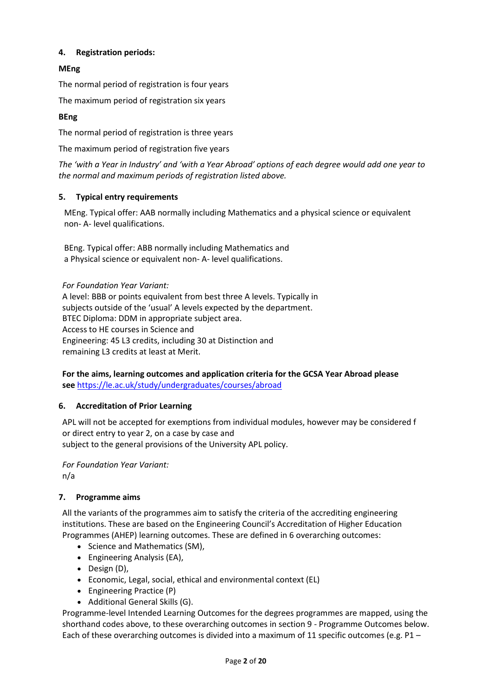# **4. Registration periods:**

# **MEng**

The normal period of registration is four years

The maximum period of registration six years

## **BEng**

The normal period of registration is three years

The maximum period of registration five years

*The 'with a Year in Industry' and 'with a Year Abroad' options of each degree would add one year to the normal and maximum periods of registration listed above.*

## **5. Typical entry requirements**

MEng. Typical offer: AAB normally including Mathematics and a physical science or equivalent non- A- level qualifications.

BEng. Typical offer: ABB normally including Mathematics and a Physical science or equivalent non- A- level qualifications.

*For Foundation Year Variant:* A level: BBB or points equivalent from best three A levels. Typically in subjects outside of the 'usual' A levels expected by the department. BTEC Diploma: DDM in appropriate subject area. Access to HE courses in Science and Engineering: 45 L3 credits, including 30 at Distinction and remaining L3 credits at least at Merit.

**For the aims, learning outcomes and application criteria for the GCSA Year Abroad please see** <https://le.ac.uk/study/undergraduates/courses/abroad>

## **6. Accreditation of Prior Learning**

APL will not be accepted for exemptions from individual modules, however may be considered f or direct entry to year 2, on a case by case and subject to the general provisions of the University APL policy.

*For Foundation Year Variant:* n/a

## **7. Programme aims**

All the variants of the programmes aim to satisfy the criteria of the accrediting engineering institutions. These are based on the Engineering Council's Accreditation of Higher Education Programmes (AHEP) learning outcomes. These are defined in 6 overarching outcomes:

- Science and Mathematics (SM),
- Engineering Analysis (EA),
- Design (D),
- Economic, Legal, social, ethical and environmental context (EL)
- Engineering Practice (P)
- Additional General Skills (G).

Programme-level Intended Learning Outcomes for the degrees programmes are mapped, using the shorthand codes above, to these overarching outcomes in section 9 - Programme Outcomes below. Each of these overarching outcomes is divided into a maximum of 11 specific outcomes (e.g. P1 –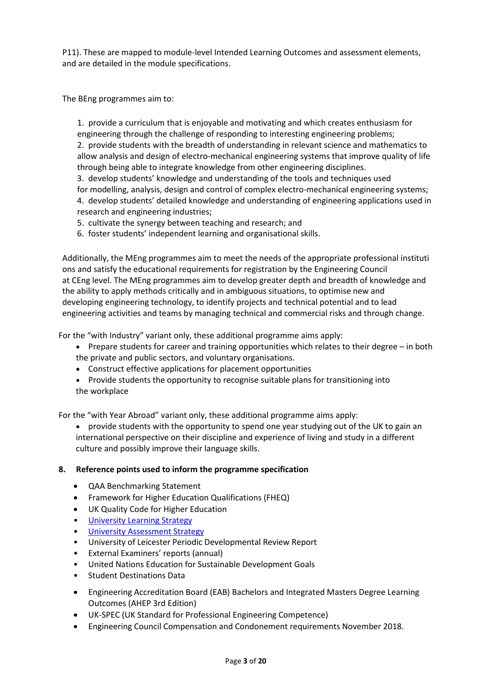P11). These are mapped to module-level Intended Learning Outcomes and assessment elements, and are detailed in the module specifications.

The BEng programmes aim to:

1. provide a curriculum that is enjoyable and motivating and which creates enthusiasm for engineering through the challenge of responding to interesting engineering problems; 2. provide students with the breadth of understanding in relevant science and mathematics to allow analysis and design of electro-mechanical engineering systems that improve quality of life through being able to integrate knowledge from other engineering disciplines.

3. develop students' knowledge and understanding of the tools and techniques used for modelling, analysis, design and control of complex electro-mechanical engineering systems; 4. develop students' detailed knowledge and understanding of engineering applications used in research and engineering industries;

5. cultivate the synergy between teaching and research; and

6. foster students' independent learning and organisational skills.

Additionally, the MEng programmes aim to meet the needs of the appropriate professional instituti ons and satisfy the educational requirements for registration by the Engineering Council at CEng level. The MEng programmes aim to develop greater depth and breadth of knowledge and the ability to apply methods critically and in ambiguous situations, to optimise new and developing engineering technology, to identify projects and technical potential and to lead engineering activities and teams by managing technical and commercial risks and through change.

For the "with Industry" variant only, these additional programme aims apply:

- Prepare students for career and training opportunities which relates to their degree in both the private and public sectors, and voluntary organisations.
- Construct effective applications for placement opportunities
- Provide students the opportunity to recognise suitable plans for transitioning into the workplace

For the "with Year Abroad" variant only, these additional programme aims apply:

• provide students with the opportunity to spend one year studying out of the UK to gain an international perspective on their discipline and experience of living and study in a different culture and possibly improve their language skills.

### **8. Reference points used to inform the programme specification**

- QAA Benchmarking Statement
- Framework for Higher Education Qualifications (FHEQ)
- UK Quality Code for Higher Education
- University Learnin[g Strategy](https://www2.le.ac.uk/offices/sas2/quality/learnteach)
- [University Assessment Strategy](https://www2.le.ac.uk/offices/sas2/quality/learnteach)
- University of Leicester Periodic Developmental Review Report
- External Examiners' reports (annual)
- United Nations Education for Sustainable Development Goals
- Student Destinations Data
- Engineering Accreditation Board (EAB) Bachelors and Integrated Masters Degree Learning Outcomes (AHEP 3rd Edition)
- UK-SPEC (UK Standard for Professional Engineering Competence)
- Engineering Council Compensation and Condonement requirements November 2018.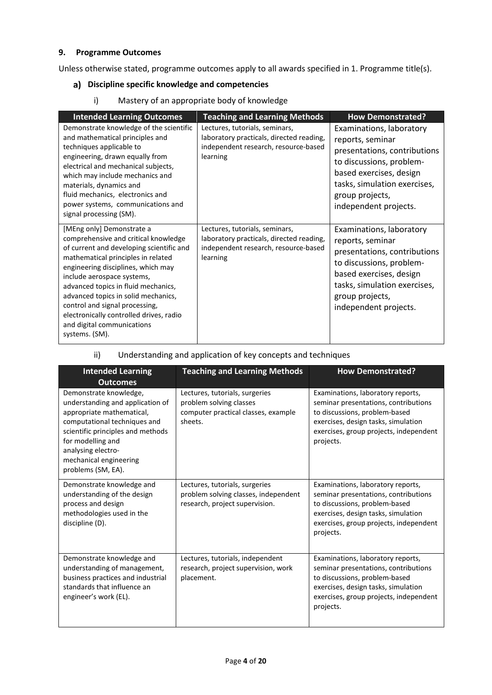## **9. Programme Outcomes**

Unless otherwise stated, programme outcomes apply to all awards specified in 1. Programme title(s).

# **Discipline specific knowledge and competencies**

i) Mastery of an appropriate body of knowledge

| <b>Intended Learning Outcomes</b>                                                                                                                                                                                                                                                                                                                                                                                                  | <b>Teaching and Learning Methods</b>                                                                                           | <b>How Demonstrated?</b>                                                                                                                                                                                        |
|------------------------------------------------------------------------------------------------------------------------------------------------------------------------------------------------------------------------------------------------------------------------------------------------------------------------------------------------------------------------------------------------------------------------------------|--------------------------------------------------------------------------------------------------------------------------------|-----------------------------------------------------------------------------------------------------------------------------------------------------------------------------------------------------------------|
| Demonstrate knowledge of the scientific<br>and mathematical principles and<br>techniques applicable to<br>engineering, drawn equally from<br>electrical and mechanical subjects,<br>which may include mechanics and<br>materials, dynamics and<br>fluid mechanics, electronics and<br>power systems, communications and<br>signal processing (SM).                                                                                 | Lectures, tutorials, seminars,<br>laboratory practicals, directed reading,<br>independent research, resource-based<br>learning | Examinations, laboratory<br>reports, seminar<br>presentations, contributions<br>to discussions, problem-<br>based exercises, design<br>tasks, simulation exercises,<br>group projects,<br>independent projects. |
| [MEng only] Demonstrate a<br>comprehensive and critical knowledge<br>of current and developing scientific and<br>mathematical principles in related<br>engineering disciplines, which may<br>include aerospace systems,<br>advanced topics in fluid mechanics,<br>advanced topics in solid mechanics,<br>control and signal processing,<br>electronically controlled drives, radio<br>and digital communications<br>systems. (SM). | Lectures, tutorials, seminars,<br>laboratory practicals, directed reading,<br>independent research, resource-based<br>learning | Examinations, laboratory<br>reports, seminar<br>presentations, contributions<br>to discussions, problem-<br>based exercises, design<br>tasks, simulation exercises,<br>group projects,<br>independent projects. |

# ii) Understanding and application of key concepts and techniques

| <b>Intended Learning</b>                                                                                                                                                                                                                                                   | <b>Teaching and Learning Methods</b>                                                                        | <b>How Demonstrated?</b>                                                                                                                                                                                 |
|----------------------------------------------------------------------------------------------------------------------------------------------------------------------------------------------------------------------------------------------------------------------------|-------------------------------------------------------------------------------------------------------------|----------------------------------------------------------------------------------------------------------------------------------------------------------------------------------------------------------|
| <b>Outcomes</b><br>Demonstrate knowledge,<br>understanding and application of<br>appropriate mathematical,<br>computational techniques and<br>scientific principles and methods<br>for modelling and<br>analysing electro-<br>mechanical engineering<br>problems (SM, EA). | Lectures, tutorials, surgeries<br>problem solving classes<br>computer practical classes, example<br>sheets. | Examinations, laboratory reports,<br>seminar presentations, contributions<br>to discussions, problem-based<br>exercises, design tasks, simulation<br>exercises, group projects, independent<br>projects. |
| Demonstrate knowledge and<br>understanding of the design<br>process and design<br>methodologies used in the<br>discipline (D).                                                                                                                                             | Lectures, tutorials, surgeries<br>problem solving classes, independent<br>research, project supervision.    | Examinations, laboratory reports,<br>seminar presentations, contributions<br>to discussions, problem-based<br>exercises, design tasks, simulation<br>exercises, group projects, independent<br>projects. |
| Demonstrate knowledge and<br>understanding of management,<br>business practices and industrial<br>standards that influence an<br>engineer's work (EL).                                                                                                                     | Lectures, tutorials, independent<br>research, project supervision, work<br>placement.                       | Examinations, laboratory reports,<br>seminar presentations, contributions<br>to discussions, problem-based<br>exercises, design tasks, simulation<br>exercises, group projects, independent<br>projects. |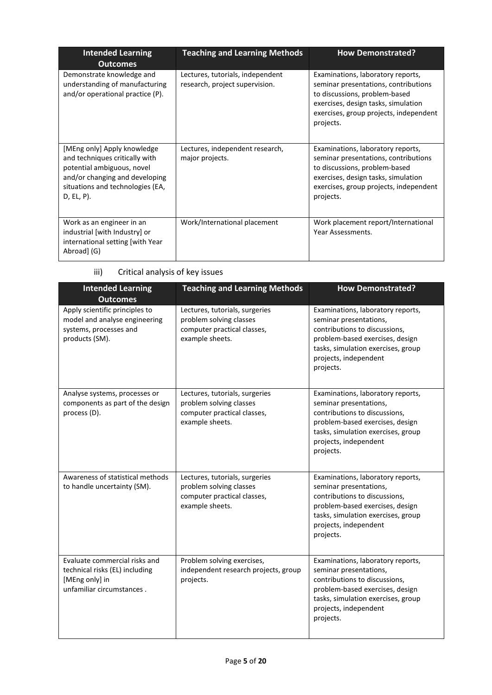| <b>Intended Learning</b><br><b>Outcomes</b>                                                                                                                                        | <b>Teaching and Learning Methods</b>                               | <b>How Demonstrated?</b>                                                                                                                                                                                 |
|------------------------------------------------------------------------------------------------------------------------------------------------------------------------------------|--------------------------------------------------------------------|----------------------------------------------------------------------------------------------------------------------------------------------------------------------------------------------------------|
| Demonstrate knowledge and<br>understanding of manufacturing<br>and/or operational practice (P).                                                                                    | Lectures, tutorials, independent<br>research, project supervision. | Examinations, laboratory reports,<br>seminar presentations, contributions<br>to discussions, problem-based<br>exercises, design tasks, simulation<br>exercises, group projects, independent<br>projects. |
| [MEng only] Apply knowledge<br>and techniques critically with<br>potential ambiguous, novel<br>and/or changing and developing<br>situations and technologies (EA,<br>$D, EL, P$ ). | Lectures, independent research,<br>major projects.                 | Examinations, laboratory reports,<br>seminar presentations, contributions<br>to discussions, problem-based<br>exercises, design tasks, simulation<br>exercises, group projects, independent<br>projects. |
| Work as an engineer in an<br>industrial [with Industry] or<br>international setting [with Year<br>Abroad] (G)                                                                      | Work/International placement                                       | Work placement report/International<br>Year Assessments.                                                                                                                                                 |

iii) Critical analysis of key issues

| <b>Intended Learning</b><br><b>Outcomes</b>                                                                    | <b>Teaching and Learning Methods</b>                                                                        | <b>How Demonstrated?</b>                                                                                                                                                                                    |
|----------------------------------------------------------------------------------------------------------------|-------------------------------------------------------------------------------------------------------------|-------------------------------------------------------------------------------------------------------------------------------------------------------------------------------------------------------------|
| Apply scientific principles to<br>model and analyse engineering<br>systems, processes and<br>products (SM).    | Lectures, tutorials, surgeries<br>problem solving classes<br>computer practical classes,<br>example sheets. | Examinations, laboratory reports,<br>seminar presentations,<br>contributions to discussions,<br>problem-based exercises, design<br>tasks, simulation exercises, group<br>projects, independent<br>projects. |
| Analyse systems, processes or<br>components as part of the design<br>process (D).                              | Lectures, tutorials, surgeries<br>problem solving classes<br>computer practical classes,<br>example sheets. | Examinations, laboratory reports,<br>seminar presentations,<br>contributions to discussions,<br>problem-based exercises, design<br>tasks, simulation exercises, group<br>projects, independent<br>projects. |
| Awareness of statistical methods<br>to handle uncertainty (SM).                                                | Lectures, tutorials, surgeries<br>problem solving classes<br>computer practical classes,<br>example sheets. | Examinations, laboratory reports,<br>seminar presentations,<br>contributions to discussions,<br>problem-based exercises, design<br>tasks, simulation exercises, group<br>projects, independent<br>projects. |
| Evaluate commercial risks and<br>technical risks (EL) including<br>[MEng only] in<br>unfamiliar circumstances. | Problem solving exercises,<br>independent research projects, group<br>projects.                             | Examinations, laboratory reports,<br>seminar presentations,<br>contributions to discussions,<br>problem-based exercises, design<br>tasks, simulation exercises, group<br>projects, independent<br>projects. |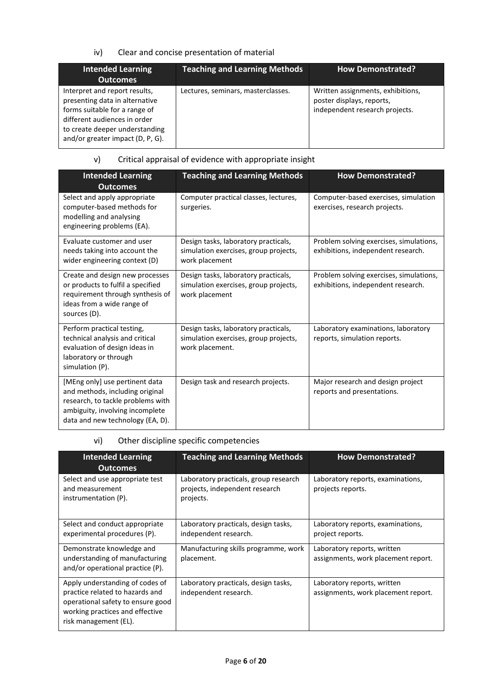## iv) Clear and concise presentation of material

| <b>Intended Learning</b><br><b>Outcomes</b>                                                                                                                                                            | <b>Teaching and Learning Methods</b> | <b>How Demonstrated?</b>                                                                         |
|--------------------------------------------------------------------------------------------------------------------------------------------------------------------------------------------------------|--------------------------------------|--------------------------------------------------------------------------------------------------|
| Interpret and report results,<br>presenting data in alternative<br>forms suitable for a range of<br>different audiences in order<br>to create deeper understanding<br>and/or greater impact (D, P, G). | Lectures, seminars, masterclasses.   | Written assignments, exhibitions,<br>poster displays, reports,<br>independent research projects. |

# v) Critical appraisal of evidence with appropriate insight

| <b>Intended Learning</b><br><b>Outcomes</b>                                                                                                                                   | <b>Teaching and Learning Methods</b>                                                             | <b>How Demonstrated?</b>                                                      |
|-------------------------------------------------------------------------------------------------------------------------------------------------------------------------------|--------------------------------------------------------------------------------------------------|-------------------------------------------------------------------------------|
| Select and apply appropriate<br>computer-based methods for<br>modelling and analysing<br>engineering problems (EA).                                                           | Computer practical classes, lectures,<br>surgeries.                                              | Computer-based exercises, simulation<br>exercises, research projects.         |
| Evaluate customer and user<br>needs taking into account the<br>wider engineering context (D)                                                                                  | Design tasks, laboratory practicals,<br>simulation exercises, group projects,<br>work placement  | Problem solving exercises, simulations,<br>exhibitions, independent research. |
| Create and design new processes<br>or products to fulfil a specified<br>requirement through synthesis of<br>ideas from a wide range of<br>sources (D).                        | Design tasks, laboratory practicals,<br>simulation exercises, group projects,<br>work placement  | Problem solving exercises, simulations,<br>exhibitions, independent research. |
| Perform practical testing,<br>technical analysis and critical<br>evaluation of design ideas in<br>laboratory or through<br>simulation (P).                                    | Design tasks, laboratory practicals,<br>simulation exercises, group projects,<br>work placement. | Laboratory examinations, laboratory<br>reports, simulation reports.           |
| [MEng only] use pertinent data<br>and methods, including original<br>research, to tackle problems with<br>ambiguity, involving incomplete<br>data and new technology (EA, D). | Design task and research projects.                                                               | Major research and design project<br>reports and presentations.               |

# vi) Other discipline specific competencies

| <b>Intended Learning</b><br><b>Outcomes</b>                                                                                                                         | <b>Teaching and Learning Methods</b>                                                 | <b>How Demonstrated?</b>                                           |
|---------------------------------------------------------------------------------------------------------------------------------------------------------------------|--------------------------------------------------------------------------------------|--------------------------------------------------------------------|
| Select and use appropriate test<br>and measurement<br>instrumentation (P).                                                                                          | Laboratory practicals, group research<br>projects, independent research<br>projects. | Laboratory reports, examinations,<br>projects reports.             |
| Select and conduct appropriate<br>experimental procedures (P).                                                                                                      | Laboratory practicals, design tasks,<br>independent research.                        | Laboratory reports, examinations,<br>project reports.              |
| Demonstrate knowledge and<br>understanding of manufacturing<br>and/or operational practice (P).                                                                     | Manufacturing skills programme, work<br>placement.                                   | Laboratory reports, written<br>assignments, work placement report. |
| Apply understanding of codes of<br>practice related to hazards and<br>operational safety to ensure good<br>working practices and effective<br>risk management (EL). | Laboratory practicals, design tasks,<br>independent research.                        | Laboratory reports, written<br>assignments, work placement report. |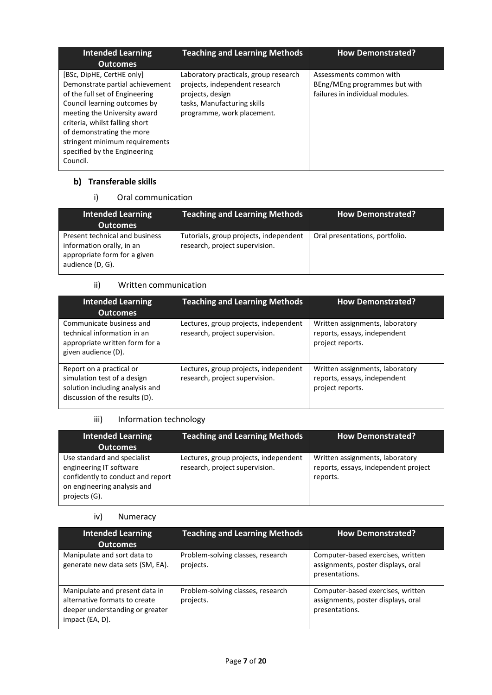| <b>Intended Learning</b><br><b>Outcomes</b>                                                                                                                                                                                                                                                                 | <b>Teaching and Learning Methods</b>                                                                                                                     | <b>How Demonstrated?</b>                                                                    |
|-------------------------------------------------------------------------------------------------------------------------------------------------------------------------------------------------------------------------------------------------------------------------------------------------------------|----------------------------------------------------------------------------------------------------------------------------------------------------------|---------------------------------------------------------------------------------------------|
| [BSc, DipHE, CertHE only]<br>Demonstrate partial achievement<br>of the full set of Engineering<br>Council learning outcomes by<br>meeting the University award<br>criteria, whilst falling short<br>of demonstrating the more<br>stringent minimum requirements<br>specified by the Engineering<br>Council. | Laboratory practicals, group research<br>projects, independent research<br>projects, design<br>tasks, Manufacturing skills<br>programme, work placement. | Assessments common with<br>BEng/MEng programmes but with<br>failures in individual modules. |

# **b)** Transferable skills

# i) Oral communication

| <b>Intended Learning</b><br><b>Outcomes</b>                                                                     | <b>Teaching and Learning Methods</b>                                     | <b>How Demonstrated?</b>       |
|-----------------------------------------------------------------------------------------------------------------|--------------------------------------------------------------------------|--------------------------------|
| Present technical and business<br>information orally, in an<br>appropriate form for a given<br>audience (D, G). | Tutorials, group projects, independent<br>research, project supervision. | Oral presentations, portfolio. |

# ii) Written communication

| <b>Intended Learning</b><br><b>Outcomes</b>                                                                                  | <b>Teaching and Learning Methods</b>                                    | <b>How Demonstrated?</b>                                                            |
|------------------------------------------------------------------------------------------------------------------------------|-------------------------------------------------------------------------|-------------------------------------------------------------------------------------|
| Communicate business and<br>technical information in an<br>appropriate written form for a<br>given audience (D).             | Lectures, group projects, independent<br>research, project supervision. | Written assignments, laboratory<br>reports, essays, independent<br>project reports. |
| Report on a practical or<br>simulation test of a design<br>solution including analysis and<br>discussion of the results (D). | Lectures, group projects, independent<br>research, project supervision. | Written assignments, laboratory<br>reports, essays, independent<br>project reports. |

# iii) Information technology

| <b>Intended Learning</b><br><b>Outcomes</b>                                                                                                 | <b>Teaching and Learning Methods</b>                                    | <b>How Demonstrated?</b>                                                            |
|---------------------------------------------------------------------------------------------------------------------------------------------|-------------------------------------------------------------------------|-------------------------------------------------------------------------------------|
| Use standard and specialist<br>engineering IT software<br>confidently to conduct and report<br>on engineering analysis and<br>projects (G). | Lectures, group projects, independent<br>research, project supervision. | Written assignments, laboratory<br>reports, essays, independent project<br>reports. |

### iv) Numeracy

| <b>Intended Learning</b><br><b>Outcomes</b>                                                                           | <b>Teaching and Learning Methods</b>           | <b>How Demonstrated?</b>                                                                  |
|-----------------------------------------------------------------------------------------------------------------------|------------------------------------------------|-------------------------------------------------------------------------------------------|
| Manipulate and sort data to<br>generate new data sets (SM, EA).                                                       | Problem-solving classes, research<br>projects. | Computer-based exercises, written<br>assignments, poster displays, oral<br>presentations. |
| Manipulate and present data in<br>alternative formats to create<br>deeper understanding or greater<br>impact (EA, D). | Problem-solving classes, research<br>projects. | Computer-based exercises, written<br>assignments, poster displays, oral<br>presentations. |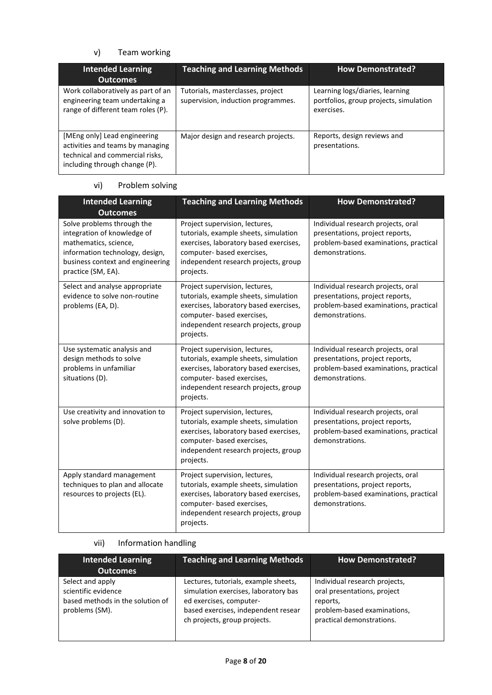# v) Team working

| <b>Intended Learning</b><br><b>Outcomes</b>                                                                                          | <b>Teaching and Learning Methods</b>                                    | <b>How Demonstrated?</b>                                                                |
|--------------------------------------------------------------------------------------------------------------------------------------|-------------------------------------------------------------------------|-----------------------------------------------------------------------------------------|
| Work collaboratively as part of an<br>engineering team undertaking a<br>range of different team roles (P).                           | Tutorials, masterclasses, project<br>supervision, induction programmes. | Learning logs/diaries, learning<br>portfolios, group projects, simulation<br>exercises. |
| [MEng only] Lead engineering<br>activities and teams by managing<br>technical and commercial risks,<br>including through change (P). | Major design and research projects.                                     | Reports, design reviews and<br>presentations.                                           |

# vi) Problem solving

| <b>Intended Learning</b><br><b>Outcomes</b>                                                                                                                                     | <b>Teaching and Learning Methods</b>                                                                                                                                                                 | <b>How Demonstrated?</b>                                                                                                          |
|---------------------------------------------------------------------------------------------------------------------------------------------------------------------------------|------------------------------------------------------------------------------------------------------------------------------------------------------------------------------------------------------|-----------------------------------------------------------------------------------------------------------------------------------|
| Solve problems through the<br>integration of knowledge of<br>mathematics, science,<br>information technology, design,<br>business context and engineering<br>practice (SM, EA). | Project supervision, lectures,<br>tutorials, example sheets, simulation<br>exercises, laboratory based exercises,<br>computer- based exercises,<br>independent research projects, group<br>projects. | Individual research projects, oral<br>presentations, project reports,<br>problem-based examinations, practical<br>demonstrations. |
| Select and analyse appropriate<br>evidence to solve non-routine<br>problems (EA, D).                                                                                            | Project supervision, lectures,<br>tutorials, example sheets, simulation<br>exercises, laboratory based exercises,<br>computer- based exercises,<br>independent research projects, group<br>projects. | Individual research projects, oral<br>presentations, project reports,<br>problem-based examinations, practical<br>demonstrations. |
| Use systematic analysis and<br>design methods to solve<br>problems in unfamiliar<br>situations (D).                                                                             | Project supervision, lectures,<br>tutorials, example sheets, simulation<br>exercises, laboratory based exercises,<br>computer- based exercises,<br>independent research projects, group<br>projects. | Individual research projects, oral<br>presentations, project reports,<br>problem-based examinations, practical<br>demonstrations. |
| Use creativity and innovation to<br>solve problems (D).                                                                                                                         | Project supervision, lectures,<br>tutorials, example sheets, simulation<br>exercises, laboratory based exercises,<br>computer- based exercises,<br>independent research projects, group<br>projects. | Individual research projects, oral<br>presentations, project reports,<br>problem-based examinations, practical<br>demonstrations. |
| Apply standard management<br>techniques to plan and allocate<br>resources to projects (EL).                                                                                     | Project supervision, lectures,<br>tutorials, example sheets, simulation<br>exercises, laboratory based exercises,<br>computer- based exercises,<br>independent research projects, group<br>projects. | Individual research projects, oral<br>presentations, project reports,<br>problem-based examinations, practical<br>demonstrations. |

# vii) Information handling

| <b>Intended Learning</b><br><b>Outcomes</b>                                                   | <b>Teaching and Learning Methods</b>                                                                                                                                           | <b>How Demonstrated?</b>                                                                                                             |
|-----------------------------------------------------------------------------------------------|--------------------------------------------------------------------------------------------------------------------------------------------------------------------------------|--------------------------------------------------------------------------------------------------------------------------------------|
| Select and apply<br>scientific evidence<br>based methods in the solution of<br>problems (SM). | Lectures, tutorials, example sheets,<br>simulation exercises, laboratory bas<br>ed exercises, computer-<br>based exercises, independent resear<br>ch projects, group projects. | Individual research projects,<br>oral presentations, project<br>reports,<br>problem-based examinations,<br>practical demonstrations. |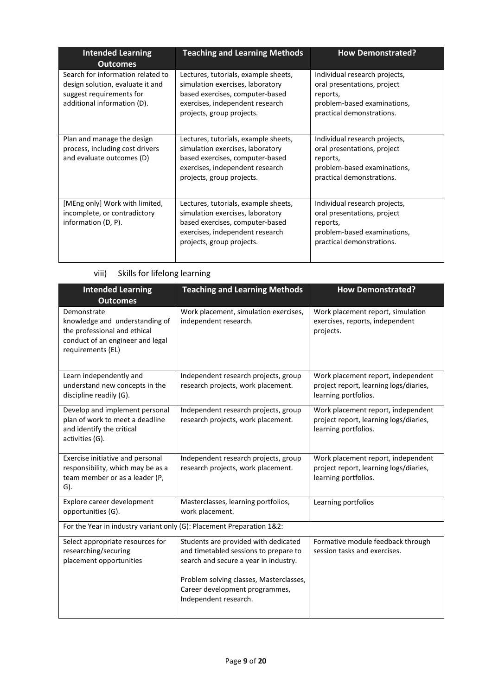| <b>Intended Learning</b><br><b>Outcomes</b>                                                                                      | <b>Teaching and Learning Methods</b>                                                                                                                                        | <b>How Demonstrated?</b>                                                                                                             |
|----------------------------------------------------------------------------------------------------------------------------------|-----------------------------------------------------------------------------------------------------------------------------------------------------------------------------|--------------------------------------------------------------------------------------------------------------------------------------|
| Search for information related to<br>design solution, evaluate it and<br>suggest requirements for<br>additional information (D). | Lectures, tutorials, example sheets,<br>simulation exercises, laboratory<br>based exercises, computer-based<br>exercises, independent research<br>projects, group projects. | Individual research projects,<br>oral presentations, project<br>reports,<br>problem-based examinations,<br>practical demonstrations. |
| Plan and manage the design<br>process, including cost drivers<br>and evaluate outcomes (D)                                       | Lectures, tutorials, example sheets,<br>simulation exercises, laboratory<br>based exercises, computer-based<br>exercises, independent research<br>projects, group projects. | Individual research projects,<br>oral presentations, project<br>reports,<br>problem-based examinations,<br>practical demonstrations. |
| [MEng only] Work with limited,<br>incomplete, or contradictory<br>information (D, P).                                            | Lectures, tutorials, example sheets,<br>simulation exercises, laboratory<br>based exercises, computer-based<br>exercises, independent research<br>projects, group projects. | Individual research projects,<br>oral presentations, project<br>reports,<br>problem-based examinations,<br>practical demonstrations. |

| Skills for lifelong learning | viii) |  |  |  |  |
|------------------------------|-------|--|--|--|--|
|------------------------------|-------|--|--|--|--|

| <b>Intended Learning</b><br><b>Outcomes</b>                                                                                            | <b>Teaching and Learning Methods</b>                                                                                                                                                                                         | <b>How Demonstrated?</b>                                                                             |
|----------------------------------------------------------------------------------------------------------------------------------------|------------------------------------------------------------------------------------------------------------------------------------------------------------------------------------------------------------------------------|------------------------------------------------------------------------------------------------------|
| Demonstrate<br>knowledge and understanding of<br>the professional and ethical<br>conduct of an engineer and legal<br>requirements (EL) | Work placement, simulation exercises,<br>independent research.                                                                                                                                                               | Work placement report, simulation<br>exercises, reports, independent<br>projects.                    |
| Learn independently and<br>understand new concepts in the<br>discipline readily (G).                                                   | Independent research projects, group<br>research projects, work placement.                                                                                                                                                   | Work placement report, independent<br>project report, learning logs/diaries,<br>learning portfolios. |
| Develop and implement personal<br>plan of work to meet a deadline<br>and identify the critical<br>activities (G).                      | Independent research projects, group<br>research projects, work placement.                                                                                                                                                   | Work placement report, independent<br>project report, learning logs/diaries,<br>learning portfolios. |
| Exercise initiative and personal<br>responsibility, which may be as a<br>team member or as a leader (P,<br>$G$ ).                      | Independent research projects, group<br>research projects, work placement.                                                                                                                                                   | Work placement report, independent<br>project report, learning logs/diaries,<br>learning portfolios. |
| Explore career development<br>opportunities (G).                                                                                       | Masterclasses, learning portfolios,<br>work placement.                                                                                                                                                                       | Learning portfolios                                                                                  |
| For the Year in industry variant only (G): Placement Preparation 1&2:                                                                  |                                                                                                                                                                                                                              |                                                                                                      |
| Select appropriate resources for<br>researching/securing<br>placement opportunities                                                    | Students are provided with dedicated<br>and timetabled sessions to prepare to<br>search and secure a year in industry.<br>Problem solving classes, Masterclasses,<br>Career development programmes,<br>Independent research. | Formative module feedback through<br>session tasks and exercises.                                    |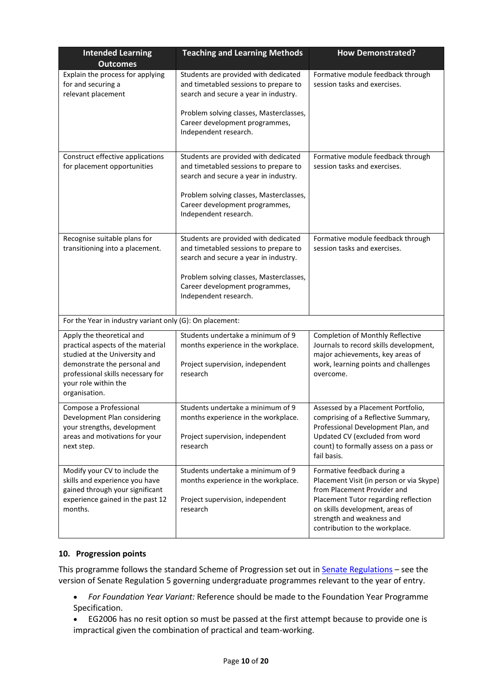| <b>Intended Learning</b><br><b>Outcomes</b>                                                                                                                                                                   | <b>Teaching and Learning Methods</b>                                                                                                                                                                                         | <b>How Demonstrated?</b>                                                                                                                                                                                                                         |
|---------------------------------------------------------------------------------------------------------------------------------------------------------------------------------------------------------------|------------------------------------------------------------------------------------------------------------------------------------------------------------------------------------------------------------------------------|--------------------------------------------------------------------------------------------------------------------------------------------------------------------------------------------------------------------------------------------------|
| Explain the process for applying<br>for and securing a<br>relevant placement                                                                                                                                  | Students are provided with dedicated<br>and timetabled sessions to prepare to<br>search and secure a year in industry.<br>Problem solving classes, Masterclasses,<br>Career development programmes,<br>Independent research. | Formative module feedback through<br>session tasks and exercises.                                                                                                                                                                                |
| Construct effective applications<br>for placement opportunities                                                                                                                                               | Students are provided with dedicated<br>and timetabled sessions to prepare to<br>search and secure a year in industry.<br>Problem solving classes, Masterclasses,<br>Career development programmes,<br>Independent research. | Formative module feedback through<br>session tasks and exercises.                                                                                                                                                                                |
| Recognise suitable plans for<br>transitioning into a placement.                                                                                                                                               | Students are provided with dedicated<br>and timetabled sessions to prepare to<br>search and secure a year in industry.<br>Problem solving classes, Masterclasses,<br>Career development programmes,<br>Independent research. | Formative module feedback through<br>session tasks and exercises.                                                                                                                                                                                |
| For the Year in industry variant only (G): On placement:                                                                                                                                                      |                                                                                                                                                                                                                              |                                                                                                                                                                                                                                                  |
| Apply the theoretical and<br>practical aspects of the material<br>studied at the University and<br>demonstrate the personal and<br>professional skills necessary for<br>your role within the<br>organisation. | Students undertake a minimum of 9<br>months experience in the workplace.<br>Project supervision, independent<br>research                                                                                                     | Completion of Monthly Reflective<br>Journals to record skills development,<br>major achievements, key areas of<br>work, learning points and challenges<br>overcome.                                                                              |
| Compose a Professional<br>Development Plan considering<br>your strengths, development<br>areas and motivations for your<br>next step.                                                                         | Students undertake a minimum of 9<br>months experience in the workplace.<br>Project supervision, independent<br>research                                                                                                     | Assessed by a Placement Portfolio,<br>comprising of a Reflective Summary,<br>Professional Development Plan, and<br>Updated CV (excluded from word<br>count) to formally assess on a pass or<br>fail basis.                                       |
| Modify your CV to include the<br>skills and experience you have<br>gained through your significant<br>experience gained in the past 12<br>months.                                                             | Students undertake a minimum of 9<br>months experience in the workplace.<br>Project supervision, independent<br>research                                                                                                     | Formative feedback during a<br>Placement Visit (in person or via Skype)<br>from Placement Provider and<br>Placement Tutor regarding reflection<br>on skills development, areas of<br>strength and weakness and<br>contribution to the workplace. |

### **10. Progression points**

This programme follows the standard Scheme of Progression set out i[n Senate Regulations](http://www.le.ac.uk/senate-regulations) - see the version of Senate Regulation 5 governing undergraduate programmes relevant to the year of entry.

- *For Foundation Year Variant:* Reference should be made to the Foundation Year Programme Specification.
- EG2006 has no resit option so must be passed at the first attempt because to provide one is impractical given the combination of practical and team-working.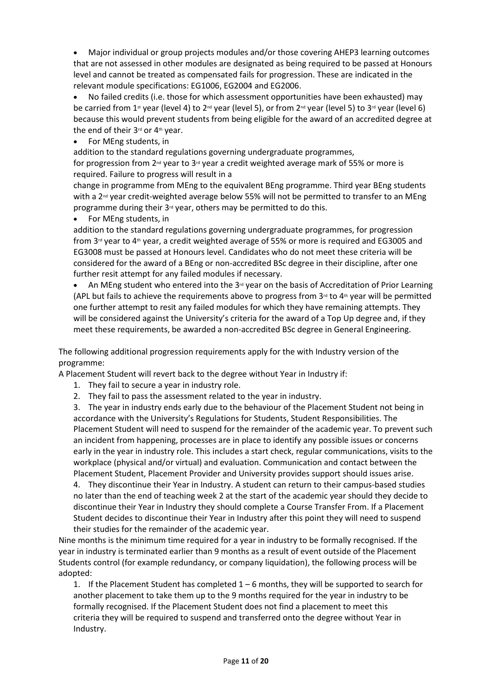• Major individual or group projects modules and/or those covering AHEP3 learning outcomes that are not assessed in other modules are designated as being required to be passed at Honours level and cannot be treated as compensated fails for progression. These are indicated in the relevant module specifications: EG1006, EG2004 and EG2006.

• No failed credits (i.e. those for which assessment opportunities have been exhausted) may be carried from 1<sup>st</sup> year (level 4) to 2<sup>nd</sup> year (level 5), or from 2<sup>nd</sup> year (level 5) to 3<sup>rd</sup> year (level 6) because this would prevent students from being eligible for the award of an accredited degree at the end of their 3rd or 4th year.

• For MEng students, in

addition to the standard regulations governing undergraduate programmes,

for progression from 2<sup>nd</sup> year to 3<sup>rd</sup> year a credit weighted average mark of 55% or more is required. Failure to progress will result in a

change in programme from MEng to the equivalent BEng programme. Third year BEng students with a  $2<sup>nd</sup>$  vear credit-weighted average below 55% will not be permitted to transfer to an MEng programme during their  $3<sup>rd</sup>$  year, others may be permitted to do this.

• For MEng students, in

addition to the standard regulations governing undergraduate programmes, for progression from 3 $d$  year to 4<sup>th</sup> year, a credit weighted average of 55% or more is required and EG3005 and EG3008 must be passed at Honours level. Candidates who do not meet these criteria will be considered for the award of a BEng or non-accredited BSc degree in their discipline, after one further resit attempt for any failed modules if necessary.

• An MEng student who entered into the 3rd year on the basis of Accreditation of Prior Learning (APL but fails to achieve the requirements above to progress from  $3<sup>d</sup>$  to  $4<sup>th</sup>$  year will be permitted one further attempt to resit any failed modules for which they have remaining attempts. They will be considered against the University's criteria for the award of a Top Up degree and, if they meet these requirements, be awarded a non-accredited BSc degree in General Engineering.

The following additional progression requirements apply for the with Industry version of the programme:

A Placement Student will revert back to the degree without Year in Industry if:

- 1. They fail to secure a year in industry role.
- 2. They fail to pass the assessment related to the year in industry.

3. The year in industry ends early due to the behaviour of the Placement Student not being in accordance with the University's Regulations for Students, Student Responsibilities. The Placement Student will need to suspend for the remainder of the academic year. To prevent such an incident from happening, processes are in place to identify any possible issues or concerns early in the year in industry role. This includes a start check, regular communications, visits to the workplace (physical and/or virtual) and evaluation. Communication and contact between the Placement Student, Placement Provider and University provides support should issues arise.

4. They discontinue their Year in Industry. A student can return to their campus-based studies no later than the end of teaching week 2 at the start of the academic year should they decide to discontinue their Year in Industry they should complete a Course Transfer From. If a Placement Student decides to discontinue their Year in Industry after this point they will need to suspend their studies for the remainder of the academic year.

Nine months is the minimum time required for a year in industry to be formally recognised. If the year in industry is terminated earlier than 9 months as a result of event outside of the Placement Students control (for example redundancy, or company liquidation), the following process will be adopted:

1. If the Placement Student has completed 1 – 6 months, they will be supported to search for another placement to take them up to the 9 months required for the year in industry to be formally recognised. If the Placement Student does not find a placement to meet this criteria they will be required to suspend and transferred onto the degree without Year in Industry.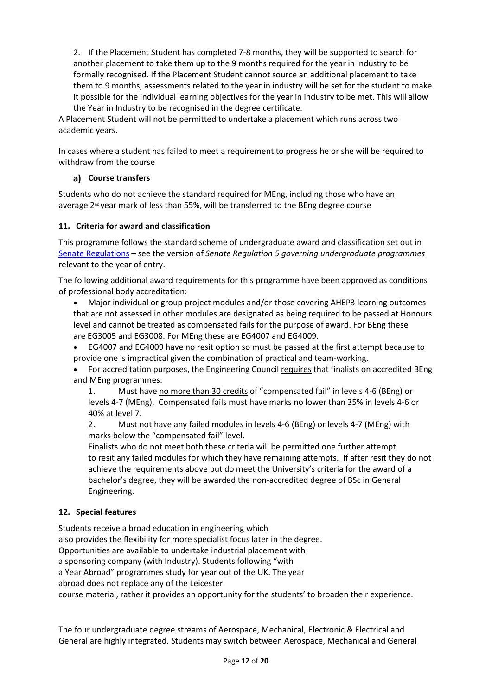2. If the Placement Student has completed 7-8 months, they will be supported to search for another placement to take them up to the 9 months required for the year in industry to be formally recognised. If the Placement Student cannot source an additional placement to take them to 9 months, assessments related to the year in industry will be set for the student to make it possible for the individual learning objectives for the year in industry to be met. This will allow the Year in Industry to be recognised in the degree certificate.

A Placement Student will not be permitted to undertake a placement which runs across two academic years.

In cases where a student has failed to meet a requirement to progress he or she will be required to withdraw from the course

## **Course transfers**

Students who do not achieve the standard required for MEng, including those who have an average 2nd year mark of less than 55%, will be transferred to the BEng degree course

### **11. Criteria for award and classification**

This programme follows the standard scheme of undergraduate award and classification set out in [Senate Regulations](http://www.le.ac.uk/senate-regulations) – see the version of *Senate Regulation 5 governing undergraduate programmes* relevant to the year of entry.

The following additional award requirements for this programme have been approved as conditions of professional body accreditation:

• Major individual or group project modules and/or those covering AHEP3 learning outcomes that are not assessed in other modules are designated as being required to be passed at Honours level and cannot be treated as compensated fails for the purpose of award. For BEng these are EG3005 and EG3008. For MEng these are EG4007 and EG4009.

• EG4007 and EG4009 have no resit option so must be passed at the first attempt because to provide one is impractical given the combination of practical and team-working.

• For accreditation purposes, the Engineering Council requires that finalists on accredited BEng and MEng programmes:

1. Must have no more than 30 credits of "compensated fail" in levels 4-6 (BEng) or levels 4-7 (MEng). Compensated fails must have marks no lower than 35% in levels 4-6 or 40% at level 7.

2. Must not have any failed modules in levels 4-6 (BEng) or levels 4-7 (MEng) with marks below the "compensated fail" level.

Finalists who do not meet both these criteria will be permitted one further attempt to resit any failed modules for which they have remaining attempts. If after resit they do not achieve the requirements above but do meet the University's criteria for the award of a bachelor's degree, they will be awarded the non-accredited degree of BSc in General Engineering.

### **12. Special features**

Students receive a broad education in engineering which

also provides the flexibility for more specialist focus later in the degree.

Opportunities are available to undertake industrial placement with

a sponsoring company (with Industry). Students following "with

a Year Abroad" programmes study for year out of the UK. The year

abroad does not replace any of the Leicester

course material, rather it provides an opportunity for the students' to broaden their experience.

The four undergraduate degree streams of Aerospace, Mechanical, Electronic & Electrical and General are highly integrated. Students may switch between Aerospace, Mechanical and General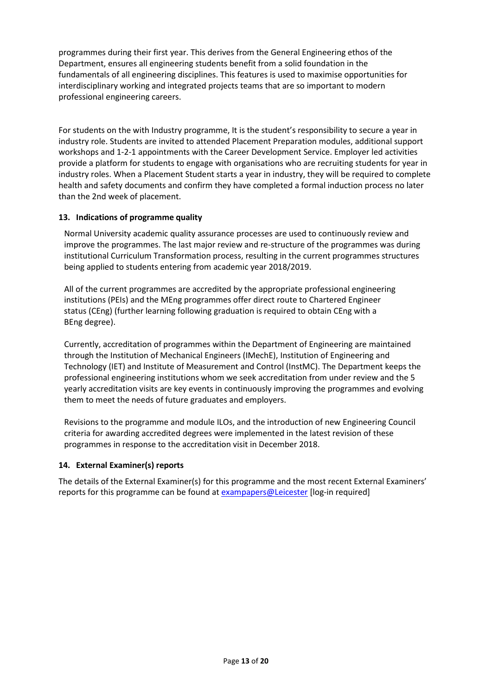programmes during their first year. This derives from the General Engineering ethos of the Department, ensures all engineering students benefit from a solid foundation in the fundamentals of all engineering disciplines. This features is used to maximise opportunities for interdisciplinary working and integrated projects teams that are so important to modern professional engineering careers.

For students on the with Industry programme, It is the student's responsibility to secure a year in industry role. Students are invited to attended Placement Preparation modules, additional support workshops and 1-2-1 appointments with the Career Development Service. Employer led activities provide a platform for students to engage with organisations who are recruiting students for year in industry roles. When a Placement Student starts a year in industry, they will be required to complete health and safety documents and confirm they have completed a formal induction process no later than the 2nd week of placement.

## **13. Indications of programme quality**

Normal University academic quality assurance processes are used to continuously review and improve the programmes. The last major review and re-structure of the programmes was during institutional Curriculum Transformation process, resulting in the current programmes structures being applied to students entering from academic year 2018/2019.

All of the current programmes are accredited by the appropriate professional engineering institutions (PEIs) and the MEng programmes offer direct route to Chartered Engineer status (CEng) (further learning following graduation is required to obtain CEng with a BEng degree).

Currently, accreditation of programmes within the Department of Engineering are maintained through the Institution of Mechanical Engineers (IMechE), Institution of Engineering and Technology (IET) and Institute of Measurement and Control (InstMC). The Department keeps the professional engineering institutions whom we seek accreditation from under review and the 5 yearly accreditation visits are key events in continuously improving the programmes and evolving them to meet the needs of future graduates and employers.

Revisions to the programme and module ILOs, and the introduction of new Engineering Council criteria for awarding accredited degrees were implemented in the latest revision of these programmes in response to the accreditation visit in December 2018.

## **14. External Examiner(s) reports**

The details of the External Examiner(s) for this programme and the most recent External Examiners' reports for this programme can be found at [exampapers@Leicester](https://exampapers.le.ac.uk/) [log-in required]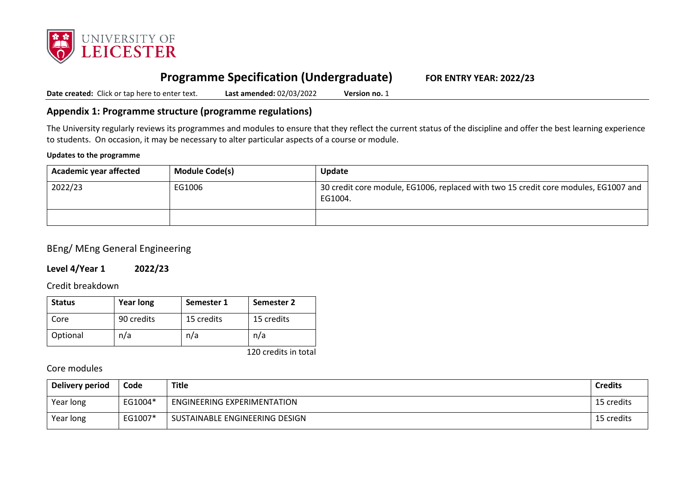

# **Programme Specification (Undergraduate) FOR ENTRY YEAR: 2022/23**

**Date created:** Click or tap here to enter text. **Last amended:** 02/03/2022 **Version no.** 1

# **Appendix 1: Programme structure (programme regulations)**

The University regularly reviews its programmes and modules to ensure that they reflect the current status of the discipline and offer the best learning experience to students. On occasion, it may be necessary to alter particular aspects of a course or module.

#### **Updates to the programme**

| <b>Academic year affected</b> | <b>Module Code(s)</b> | Update                                                                                         |
|-------------------------------|-----------------------|------------------------------------------------------------------------------------------------|
| 2022/23                       | EG1006                | 30 credit core module, EG1006, replaced with two 15 credit core modules, EG1007 and<br>EG1004. |
|                               |                       |                                                                                                |

# BEng/ MEng General Engineering

## **Level 4/Year 1 2022/23**

### Credit breakdown

| <b>Status</b> | <b>Year long</b> | Semester 1 | Semester 2 |
|---------------|------------------|------------|------------|
| Core          | 90 credits       | 15 credits | 15 credits |
| Optional      | n/a              | n/a        | n/a        |

120 credits in total

# Core modules

| Delivery period | Code    | <b>Title</b>                   | <b>Credits</b> |
|-----------------|---------|--------------------------------|----------------|
| Year long       | EG1004* | ENGINEERING EXPERIMENTATION    | 15 credits     |
| Year long       | EG1007* | SUSTAINABLE ENGINEERING DESIGN | 15 credits     |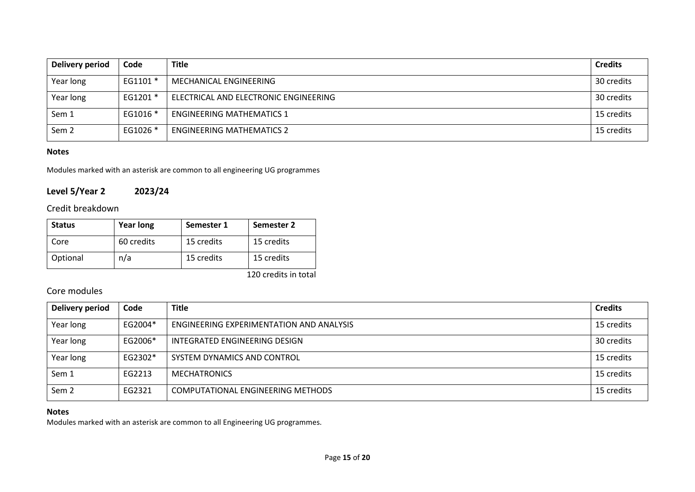| <b>Delivery period</b> | Code     | <b>Title</b>                          | <b>Credits</b> |
|------------------------|----------|---------------------------------------|----------------|
| Year long              | EG1101 * | MECHANICAL ENGINEERING                | 30 credits     |
| Year long              | EG1201 * | ELECTRICAL AND ELECTRONIC ENGINEERING | 30 credits     |
| Sem 1                  | EG1016 * | <b>ENGINEERING MATHEMATICS 1</b>      | 15 credits     |
| Sem <sub>2</sub>       | EG1026 * | <b>ENGINEERING MATHEMATICS 2</b>      | 15 credits     |

### **Notes**

Modules marked with an asterisk are common to all engineering UG programmes

# **Level 5/Year 2 2023/24**

# Credit breakdown

| <b>Status</b> | <b>Year long</b> | Semester 1 | Semester 2 |
|---------------|------------------|------------|------------|
| Core          | 60 credits       | 15 credits | 15 credits |
| Optional      | n/a              | 15 credits | 15 credits |

120 credits in total

# Core modules

| Delivery period  | Code    | <b>Title</b>                             | <b>Credits</b> |
|------------------|---------|------------------------------------------|----------------|
| Year long        | EG2004* | ENGINEERING EXPERIMENTATION AND ANALYSIS | 15 credits     |
| Year long        | EG2006* | INTEGRATED ENGINEERING DESIGN            | 30 credits     |
| Year long        | EG2302* | SYSTEM DYNAMICS AND CONTROL              | 15 credits     |
| Sem 1            | EG2213  | <b>MECHATRONICS</b>                      | 15 credits     |
| Sem <sub>2</sub> | EG2321  | COMPUTATIONAL ENGINEERING METHODS        | 15 credits     |

## **Notes**

Modules marked with an asterisk are common to all Engineering UG programmes.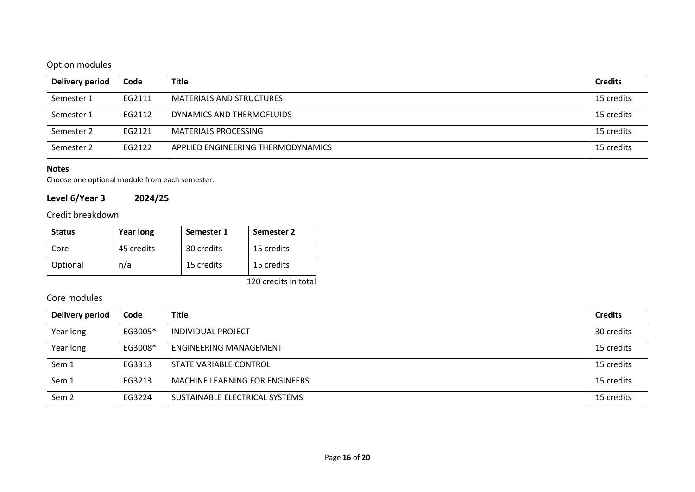# Option modules

| Delivery period | Code   | <b>Title</b>                       | <b>Credits</b> |
|-----------------|--------|------------------------------------|----------------|
| Semester 1      | EG2111 | <b>MATERIALS AND STRUCTURES</b>    | 15 credits     |
| Semester 1      | EG2112 | DYNAMICS AND THERMOFLUIDS          | 15 credits     |
| Semester 2      | EG2121 | <b>MATERIALS PROCESSING</b>        | 15 credits     |
| Semester 2      | EG2122 | APPLIED ENGINEERING THERMODYNAMICS | 15 credits     |

### **Notes**

Choose one optional module from each semester.

# **Level 6/Year 3 2024/25**

# Credit breakdown

| <b>Status</b> | <b>Year long</b> | Semester 1 | Semester 2 |
|---------------|------------------|------------|------------|
| Core          | 45 credits       | 30 credits | 15 credits |
| Optional      | n/a              | 15 credits | 15 credits |

120 credits in total

# Core modules

| Delivery period  | Code    | <b>Title</b>                   | <b>Credits</b> |
|------------------|---------|--------------------------------|----------------|
| Year long        | EG3005* | <b>INDIVIDUAL PROJECT</b>      | 30 credits     |
| Year long        | EG3008* | <b>ENGINEERING MANAGEMENT</b>  | 15 credits     |
| Sem 1            | EG3313  | STATE VARIABLE CONTROL         | 15 credits     |
| Sem 1            | EG3213  | MACHINE LEARNING FOR ENGINEERS | 15 credits     |
| Sem <sub>2</sub> | EG3224  | SUSTAINABLE ELECTRICAL SYSTEMS | 15 credits     |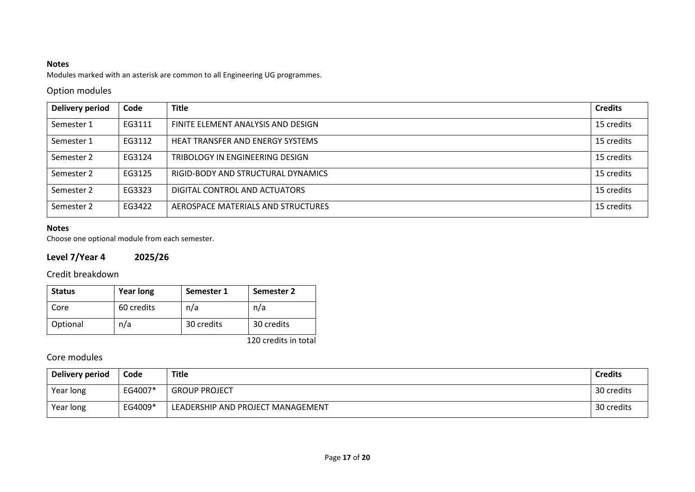# **Notes**

Modules marked with an asterisk are common to all Engineering UG programmes.

# Option modules

| <b>Delivery period</b> | Code   | <b>Title</b>                            | <b>Credits</b> |
|------------------------|--------|-----------------------------------------|----------------|
| Semester 1             | EG3111 | FINITE ELEMENT ANALYSIS AND DESIGN      | 15 credits     |
| Semester 1             | EG3112 | <b>HEAT TRANSFER AND ENERGY SYSTEMS</b> | 15 credits     |
| Semester 2             | EG3124 | TRIBOLOGY IN ENGINEERING DESIGN         | 15 credits     |
| Semester 2             | EG3125 | RIGID-BODY AND STRUCTURAL DYNAMICS      | 15 credits     |
| Semester 2             | EG3323 | DIGITAL CONTROL AND ACTUATORS           | 15 credits     |
| Semester 2             | EG3422 | AEROSPACE MATERIALS AND STRUCTURES      | 15 credits     |

# **Notes**

Choose one optional module from each semester.

# **Level 7/Year 4 2025/26**

Credit breakdown

| <b>Status</b> | <b>Year long</b> | Semester 1 | Semester 2 |
|---------------|------------------|------------|------------|
| Core          | 60 credits       | n/a        | n/a        |
| Optional      | n/a              | 30 credits | 30 credits |

120 credits in total

# Core modules

| Delivery period | Code    | <b>Title</b>                      | <b>Credits</b> |
|-----------------|---------|-----------------------------------|----------------|
| Year long       | EG4007* | <b>GROUP PROJECT</b>              | 30 credits     |
| Year long       | EG4009* | LEADERSHIP AND PROJECT MANAGEMENT | 30 credits     |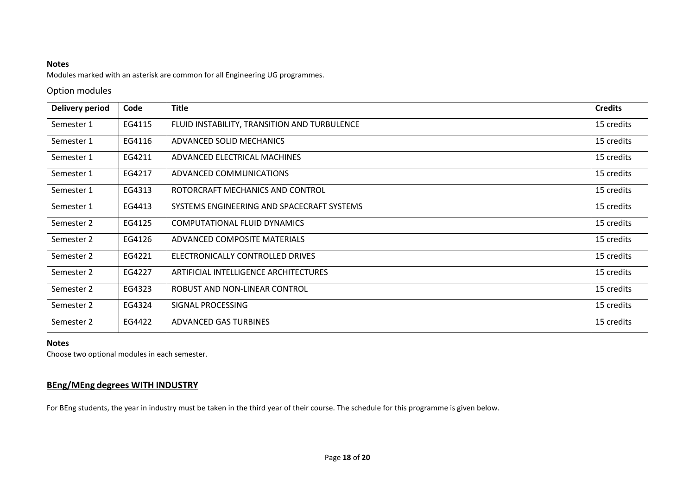### **Notes**

Modules marked with an asterisk are common for all Engineering UG programmes.

# Option modules

| <b>Delivery period</b> | Code   | <b>Title</b>                                 | <b>Credits</b> |
|------------------------|--------|----------------------------------------------|----------------|
| Semester 1             | EG4115 | FLUID INSTABILITY, TRANSITION AND TURBULENCE | 15 credits     |
| Semester 1             | EG4116 | ADVANCED SOLID MECHANICS                     | 15 credits     |
| Semester 1             | EG4211 | ADVANCED ELECTRICAL MACHINES                 | 15 credits     |
| Semester 1             | EG4217 | ADVANCED COMMUNICATIONS                      | 15 credits     |
| Semester 1             | EG4313 | ROTORCRAFT MECHANICS AND CONTROL             | 15 credits     |
| Semester 1             | EG4413 | SYSTEMS ENGINEERING AND SPACECRAFT SYSTEMS   | 15 credits     |
| Semester 2             | EG4125 | COMPUTATIONAL FLUID DYNAMICS                 | 15 credits     |
| Semester 2             | EG4126 | ADVANCED COMPOSITE MATERIALS                 | 15 credits     |
| Semester 2             | EG4221 | ELECTRONICALLY CONTROLLED DRIVES             | 15 credits     |
| Semester 2             | EG4227 | ARTIFICIAL INTELLIGENCE ARCHITECTURES        | 15 credits     |
| Semester 2             | EG4323 | ROBUST AND NON-LINEAR CONTROL                | 15 credits     |
| Semester 2             | EG4324 | SIGNAL PROCESSING                            | 15 credits     |
| Semester 2             | EG4422 | ADVANCED GAS TURBINES                        | 15 credits     |

#### **Notes**

Choose two optional modules in each semester.

# **BEng/MEng degrees WITH INDUSTRY**

For BEng students, the year in industry must be taken in the third year of their course. The schedule for this programme is given below.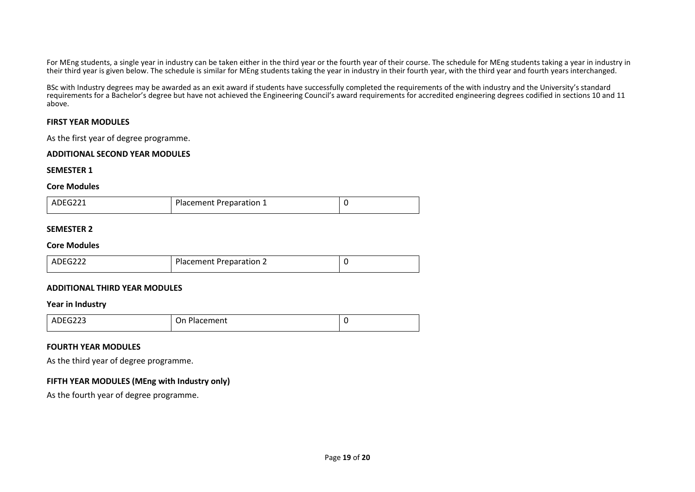For MEng students, a single year in industry can be taken either in the third year or the fourth year of their course. The schedule for MEng students taking a year in industry in their third year is given below. The schedule is similar for MEng students taking the year in industry in their fourth year, with the third year and fourth years interchanged.

BSc with Industry degrees may be awarded as an exit award if students have successfully completed the requirements of the with industry and the University's standard requirements for a Bachelor's degree but have not achieved the Engineering Council's award requirements for accredited engineering degrees codified in sections 10 and 11 above.

#### **FIRST YEAR MODULES**

As the first year of degree programme.

#### **ADDITIONAL SECOND YEAR MODULES**

#### **SEMESTER 1**

#### **Core Modules**

| ADEG221 | Placement Preparation 1 |  |
|---------|-------------------------|--|
|---------|-------------------------|--|

#### **SEMESTER 2**

#### **Core Modules**

| ADEG222<br><b>Placement Preparation 2</b> |  |
|-------------------------------------------|--|
|-------------------------------------------|--|

#### **ADDITIONAL THIRD YEAR MODULES**

#### **Year in Industry**

| $n$ $n$ $n$<br>AVE<br>נגגט׳<br>______ | On Placement |  |
|---------------------------------------|--------------|--|

#### **FOURTH YEAR MODULES**

As the third year of degree programme.

### **FIFTH YEAR MODULES (MEng with Industry only)**

As the fourth year of degree programme.